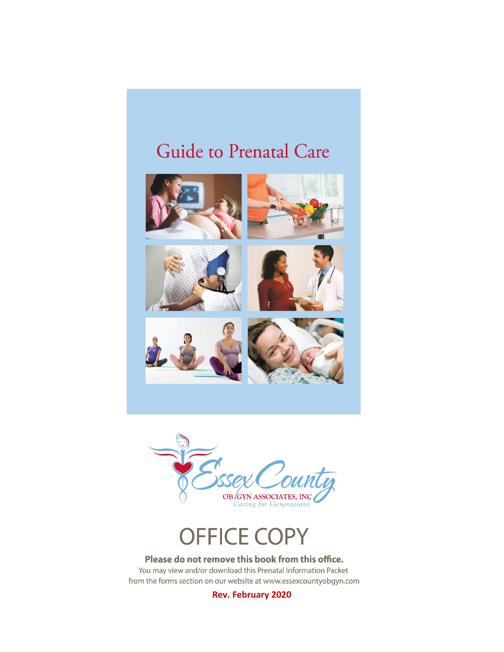# Guide to Prenatal Care

















### Please do not remove this book from this office.

You may view and/or download this Prenatal Information Packet from the forms section on our website at www.essexcountyobgyn.com

**Rev. February 2020**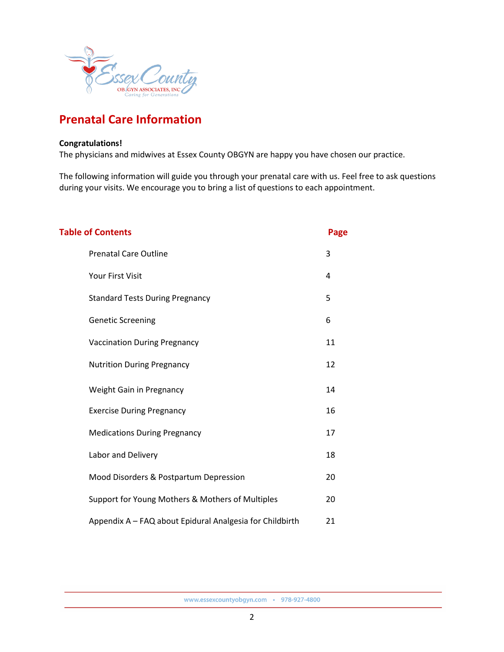

# **Prenatal Care Information**

### **Congratulations!**

The physicians and midwives at Essex County OBGYN are happy you have chosen our practice.

The following information will guide you through your prenatal care with us. Feel free to ask questions during your visits. We encourage you to bring a list of questions to each appointment.

| <b>Table of Contents</b>                                 | Page |
|----------------------------------------------------------|------|
| <b>Prenatal Care Outline</b>                             | 3    |
| <b>Your First Visit</b>                                  | 4    |
| <b>Standard Tests During Pregnancy</b>                   | 5    |
| <b>Genetic Screening</b>                                 | 6    |
| <b>Vaccination During Pregnancy</b>                      | 11   |
| <b>Nutrition During Pregnancy</b>                        | 12   |
| Weight Gain in Pregnancy                                 | 14   |
| <b>Exercise During Pregnancy</b>                         | 16   |
| <b>Medications During Pregnancy</b>                      | 17   |
| Labor and Delivery                                       | 18   |
| Mood Disorders & Postpartum Depression                   | 20   |
| Support for Young Mothers & Mothers of Multiples         | 20   |
| Appendix A - FAQ about Epidural Analgesia for Childbirth | 21   |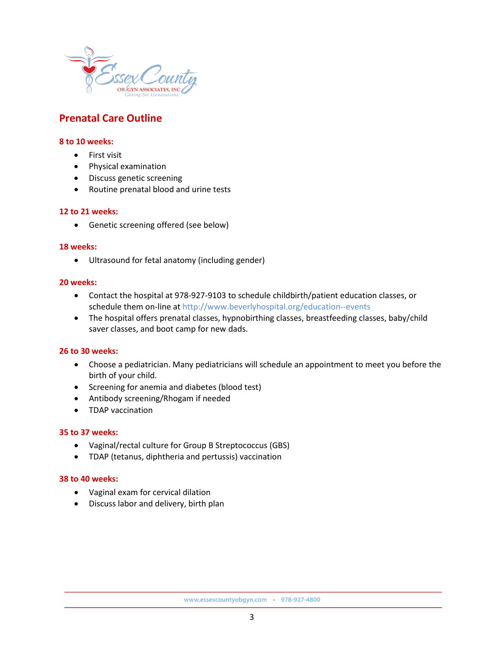

### **Prenatal Care Outline**

### **8 to 10 weeks:**

- First visit
- Physical examination
- Discuss genetic screening
- Routine prenatal blood and urine tests

#### **12 to 21 weeks:**

• Genetic screening offered (see below)

#### **18 weeks:**

• Ultrasound for fetal anatomy (including gender)

#### **20 weeks:**

- Contact the hospital at 978-927-9103 to schedule childbirth/patient education classes, or schedule them on-line at http://www.beverlyhospital.org/education--events
- The hospital offers prenatal classes, hypnobirthing classes, breastfeeding classes, baby/child saver classes, and boot camp for new dads.

#### **26 to 30 weeks:**

- Choose a pediatrician. Many pediatricians will schedule an appointment to meet you before the birth of your child.
- Screening for anemia and diabetes (blood test)
- Antibody screening/Rhogam if needed
- TDAP vaccination

#### **35 to 37 weeks:**

- Vaginal/rectal culture for Group B Streptococcus (GBS)
- TDAP (tetanus, diphtheria and pertussis) vaccination

#### **38 to 40 weeks:**

- Vaginal exam for cervical dilation
- Discuss labor and delivery, birth plan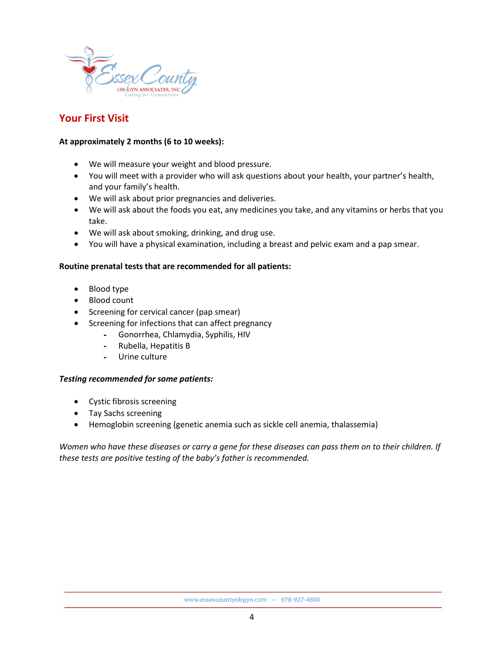

### **Your First Visit**

### **At approximately 2 months (6 to 10 weeks):**

- We will measure your weight and blood pressure.
- You will meet with a provider who will ask questions about your health, your partner's health, and your family's health.
- We will ask about prior pregnancies and deliveries.
- We will ask about the foods you eat, any medicines you take, and any vitamins or herbs that you take.
- We will ask about smoking, drinking, and drug use.
- You will have a physical examination, including a breast and pelvic exam and a pap smear.

### **Routine prenatal tests that are recommended for all patients:**

- Blood type
- Blood count
- Screening for cervical cancer (pap smear)
- Screening for infections that can affect pregnancy
	- Gonorrhea, Chlamydia, Syphilis, HIV
	- Rubella, Hepatitis B
	- Urine culture

### *Testing recommended for some patients:*

- Cystic fibrosis screening
- Tay Sachs screening
- Hemoglobin screening (genetic anemia such as sickle cell anemia, thalassemia)

*Women who have these diseases or carry a gene for these diseases can pass them on to their children. If these tests are positive testing of the baby's father is recommended.*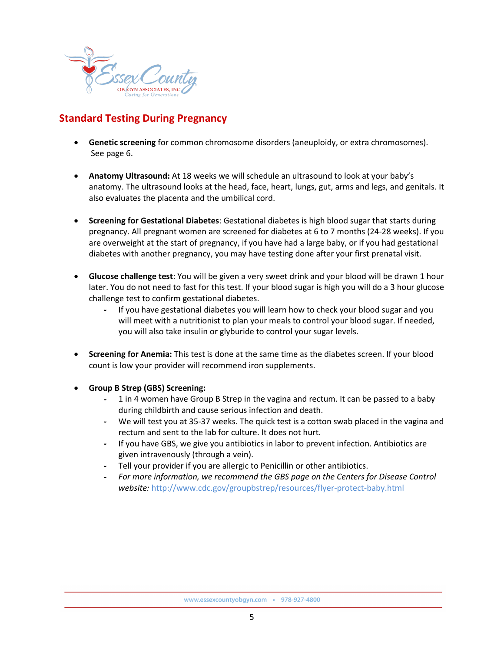

# **Standard Testing During Pregnancy**

- **Genetic screening** for common chromosome disorders (aneuploidy, or extra chromosomes). See page 6.
- **Anatomy Ultrasound:** At 18 weeks we will schedule an ultrasound to look at your baby's anatomy. The ultrasound looks at the head, face, heart, lungs, gut, arms and legs, and genitals. It also evaluates the placenta and the umbilical cord.
- **Screening for Gestational Diabetes**: Gestational diabetes is high blood sugar that starts during pregnancy. All pregnant women are screened for diabetes at 6 to 7 months (24-28 weeks). If you are overweight at the start of pregnancy, if you have had a large baby, or if you had gestational diabetes with another pregnancy, you may have testing done after your first prenatal visit.
- **Glucose challenge test**: You will be given a very sweet drink and your blood will be drawn 1 hour later. You do not need to fast for this test. If your blood sugar is high you will do a 3 hour glucose challenge test to confirm gestational diabetes.
	- If you have gestational diabetes you will learn how to check your blood sugar and you will meet with a nutritionist to plan your meals to control your blood sugar. If needed, you will also take insulin or glyburide to control your sugar levels.
- **Screening for Anemia:** This test is done at the same time as the diabetes screen. If your blood count is low your provider will recommend iron supplements.
- **Group B Strep (GBS) Screening:**
	- 1 in 4 women have Group B Strep in the vagina and rectum. It can be passed to a baby during childbirth and cause serious infection and death.
	- We will test you at 35-37 weeks. The quick test is a cotton swab placed in the vagina and rectum and sent to the lab for culture. It does not hurt.
	- If you have GBS, we give you antibiotics in labor to prevent infection. Antibiotics are given intravenously (through a vein).
	- Tell your provider if you are allergic to Penicillin or other antibiotics.
	- *For more information, we recommend the GBS page on the Centers for Disease Control website:* <http://www.cdc.gov/groupbstrep/resources/flyer-protect-baby.html>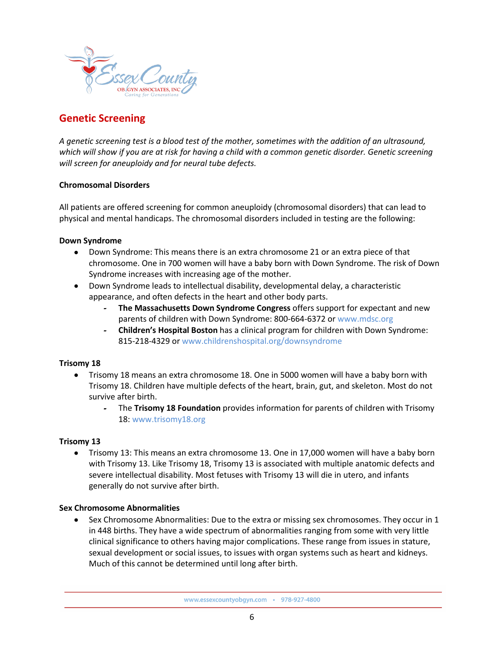

# **Genetic Screening**

*A genetic screening test is a blood test of the mother, sometimes with the addition of an ultrasound, which will show if you are at risk for having a child with a common genetic disorder. Genetic screening will screen for aneuploidy and for neural tube defects.*

### **Chromosomal Disorders**

All patients are offered screening for common aneuploidy (chromosomal disorders) that can lead to physical and mental handicaps. The chromosomal disorders included in testing are the following:

### **Down Syndrome**

- Down Syndrome: This means there is an extra chromosome 21 or an extra piece of that chromosome. One in 700 women will have a baby born with Down Syndrome. The risk of Down Syndrome increases with increasing age of the mother.
- Down Syndrome leads to intellectual disability, developmental delay, a characteristic appearance, and often defects in the heart and other body parts.
	- **The Massachusetts Down Syndrome Congress** offers support for expectant and new parents of children with Down Syndrome: 800-664-6372 or www.mdsc.org
	- **Children's Hospital Boston** has a clinical program for children with Down Syndrome: 815-218-4329 or [www.childrenshospital.org/downsyndrome](http://www.childrenshospital.org/downsyndrome)

### **Trisomy 18**

- Trisomy 18 means an extra chromosome 18. One in 5000 women will have a baby born with Trisomy 18. Children have multiple defects of the heart, brain, gut, and skeleton. Most do not survive after birth.
	- The **Trisomy 18 Foundation** provides information for parents of children with Trisomy 18[: www.trisomy18.org](http://www.trisomy18.org/)

### **Trisomy 13**

• Trisomy 13: This means an extra chromosome 13. One in 17,000 women will have a baby born with Trisomy 13. Like Trisomy 18, Trisomy 13 is associated with multiple anatomic defects and severe intellectual disability. Most fetuses with Trisomy 13 will die in utero, and infants generally do not survive after birth.

### **Sex Chromosome Abnormalities**

• Sex Chromosome Abnormalities: Due to the extra or missing sex chromosomes. They occur in 1 in 448 births. They have a wide spectrum of abnormalities ranging from some with very little clinical significance to others having major complications. These range from issues in stature, sexual development or social issues, to issues with organ systems such as heart and kidneys. Much of this cannot be determined until long after birth.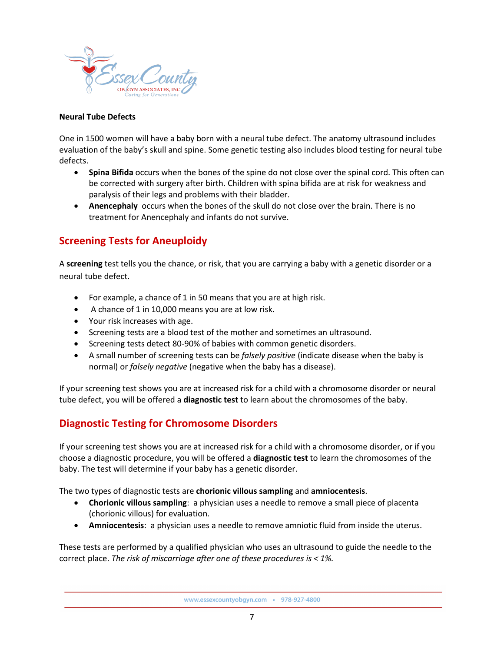

### **Neural Tube Defects**

One in 1500 women will have a baby born with a neural tube defect. The anatomy ultrasound includes evaluation of the baby's skull and spine. Some genetic testing also includes blood testing for neural tube defects.

- **Spina Bifida** occurs when the bones of the spine do not close over the spinal cord. This often can be corrected with surgery after birth. Children with spina bifida are at risk for weakness and paralysis of their legs and problems with their bladder.
- **Anencephaly** occurs when the bones of the skull do not close over the brain. There is no treatment for Anencephaly and infants do not survive.

# **Screening Tests for Aneuploidy**

A **screening** test tells you the chance, or risk, that you are carrying a baby with a genetic disorder or a neural tube defect.

- For example, a chance of 1 in 50 means that you are at high risk.
- A chance of 1 in 10,000 means you are at low risk.
- Your risk increases with age.
- Screening tests are a blood test of the mother and sometimes an ultrasound.
- Screening tests detect 80-90% of babies with common genetic disorders.
- A small number of screening tests can be *falsely positive* (indicate disease when the baby is normal) or *falsely negative* (negative when the baby has a disease).

If your screening test shows you are at increased risk for a child with a chromosome disorder or neural tube defect, you will be offered a **diagnostic test** to learn about the chromosomes of the baby.

### **Diagnostic Testing for Chromosome Disorders**

If your screening test shows you are at increased risk for a child with a chromosome disorder, or if you choose a diagnostic procedure, you will be offered a **diagnostic test** to learn the chromosomes of the baby. The test will determine if your baby has a genetic disorder.

The two types of diagnostic tests are **chorionic villous sampling** and **amniocentesis**.

- **Chorionic villous sampling**: a physician uses a needle to remove a small piece of placenta (chorionic villous) for evaluation.
- **Amniocentesis**: a physician uses a needle to remove amniotic fluid from inside the uterus.

These tests are performed by a qualified physician who uses an ultrasound to guide the needle to the correct place. *The risk of miscarriage after one of these procedures is < 1%.*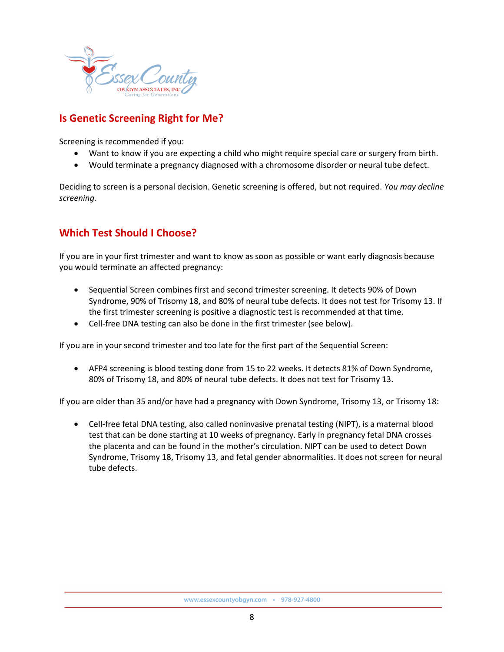

# **Is Genetic Screening Right for Me?**

Screening is recommended if you:

- Want to know if you are expecting a child who might require special care or surgery from birth.
- Would terminate a pregnancy diagnosed with a chromosome disorder or neural tube defect.

Deciding to screen is a personal decision. Genetic screening is offered, but not required. *You may decline screening.*

# **Which Test Should I Choose?**

If you are in your first trimester and want to know as soon as possible or want early diagnosis because you would terminate an affected pregnancy:

- Sequential Screen combines first and second trimester screening. It detects 90% of Down Syndrome, 90% of Trisomy 18, and 80% of neural tube defects. It does not test for Trisomy 13. If the first trimester screening is positive a diagnostic test is recommended at that time.
- Cell-free DNA testing can also be done in the first trimester (see below).

If you are in your second trimester and too late for the first part of the Sequential Screen:

• AFP4 screening is blood testing done from 15 to 22 weeks. It detects 81% of Down Syndrome, 80% of Trisomy 18, and 80% of neural tube defects. It does not test for Trisomy 13.

If you are older than 35 and/or have had a pregnancy with Down Syndrome, Trisomy 13, or Trisomy 18:

• Cell-free fetal DNA testing, also called noninvasive prenatal testing (NIPT), is a maternal blood test that can be done starting at 10 weeks of pregnancy. Early in pregnancy fetal DNA crosses the placenta and can be found in the mother's circulation. NIPT can be used to detect Down Syndrome, Trisomy 18, Trisomy 13, and fetal gender abnormalities. It does not screen for neural tube defects.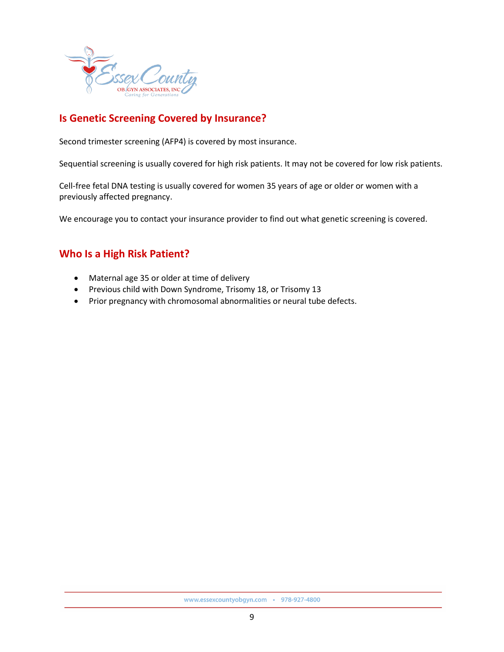

# **Is Genetic Screening Covered by Insurance?**

Second trimester screening (AFP4) is covered by most insurance.

Sequential screening is usually covered for high risk patients. It may not be covered for low risk patients.

Cell-free fetal DNA testing is usually covered for women 35 years of age or older or women with a previously affected pregnancy.

We encourage you to contact your insurance provider to find out what genetic screening is covered.

### **Who Is a High Risk Patient?**

- Maternal age 35 or older at time of delivery
- Previous child with Down Syndrome, Trisomy 18, or Trisomy 13
- Prior pregnancy with chromosomal abnormalities or neural tube defects.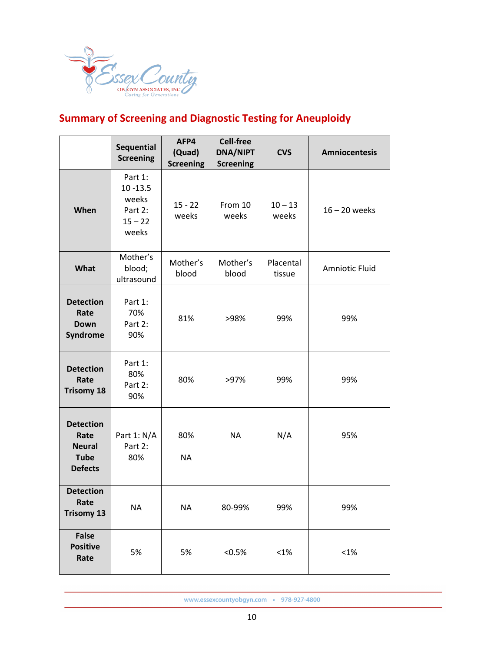

# **Summary of Screening and Diagnostic Testing for Aneuploidy**

|                                                                            | Sequential<br><b>Screening</b>                                   | AFP4<br>(Quad)<br><b>Screening</b> | <b>Cell-free</b><br><b>DNA/NIPT</b><br><b>Screening</b> | <b>CVS</b>          | <b>Amniocentesis</b> |
|----------------------------------------------------------------------------|------------------------------------------------------------------|------------------------------------|---------------------------------------------------------|---------------------|----------------------|
| When                                                                       | Part 1:<br>$10 - 13.5$<br>weeks<br>Part 2:<br>$15 - 22$<br>weeks | $15 - 22$<br>weeks                 | From 10<br>weeks                                        | $10 - 13$<br>weeks  | $16 - 20$ weeks      |
| What                                                                       | Mother's<br>blood;<br>ultrasound                                 | Mother's<br>blood                  | Mother's<br>blood                                       | Placental<br>tissue | Amniotic Fluid       |
| <b>Detection</b><br>Rate<br><b>Down</b><br>Syndrome                        | Part 1:<br>70%<br>Part 2:<br>90%                                 | 81%                                | >98%                                                    | 99%                 | 99%                  |
| <b>Detection</b><br>Rate<br><b>Trisomy 18</b>                              | Part 1:<br>80%<br>Part 2:<br>90%                                 | 80%                                | >97%                                                    | 99%                 | 99%                  |
| <b>Detection</b><br>Rate<br><b>Neural</b><br><b>Tube</b><br><b>Defects</b> | Part 1: N/A<br>Part 2:<br>80%                                    | 80%<br><b>NA</b>                   | <b>NA</b>                                               | N/A                 | 95%                  |
| <b>Detection</b><br>Rate<br><b>Trisomy 13</b>                              | NA                                                               | NA                                 | 80-99%                                                  | 99%                 | 99%                  |
| <b>False</b><br><b>Positive</b><br>Rate                                    | 5%                                                               | 5%                                 | $< 0.5\%$                                               | $< 1\%$             | $< 1\%$              |

www.essexcountyobgyn.com · 978-927-4800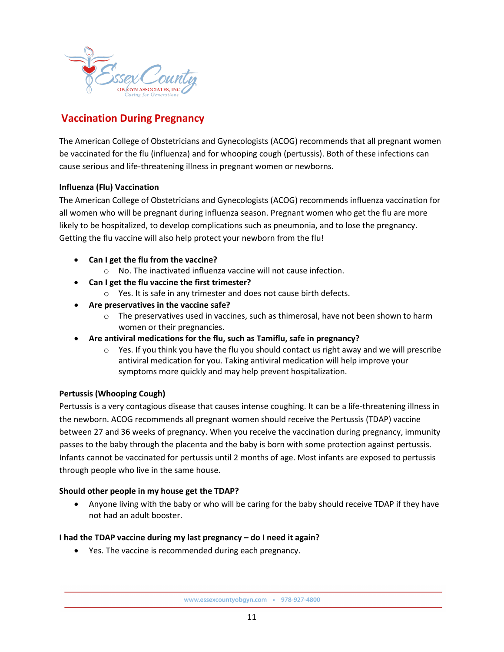

# **Vaccination During Pregnancy**

The American College of Obstetricians and Gynecologists (ACOG) recommends that all pregnant women be vaccinated for the flu (influenza) and for whooping cough (pertussis). Both of these infections can cause serious and life-threatening illness in pregnant women or newborns.

### **Influenza (Flu) Vaccination**

The American College of Obstetricians and Gynecologists (ACOG) recommends influenza vaccination for all women who will be pregnant during influenza season. Pregnant women who get the flu are more likely to be hospitalized, to develop complications such as pneumonia, and to lose the pregnancy. Getting the flu vaccine will also help protect your newborn from the flu!

- **Can I get the flu from the vaccine?**
	- o No. The inactivated influenza vaccine will not cause infection.
- **Can I get the flu vaccine the first trimester?**
	- o Yes. It is safe in any trimester and does not cause birth defects.
- **Are preservatives in the vaccine safe?**
	- $\circ$  The preservatives used in vaccines, such as thimerosal, have not been shown to harm women or their pregnancies.
- **Are antiviral medications for the flu, such as Tamiflu, safe in pregnancy?**
	- $\circ$  Yes. If you think you have the flu you should contact us right away and we will prescribe antiviral medication for you. Taking antiviral medication will help improve your symptoms more quickly and may help prevent hospitalization.

### **Pertussis (Whooping Cough)**

Pertussis is a very contagious disease that causes intense coughing. It can be a life-threatening illness in the newborn. ACOG recommends all pregnant women should receive the Pertussis (TDAP) vaccine between 27 and 36 weeks of pregnancy. When you receive the vaccination during pregnancy, immunity passes to the baby through the placenta and the baby is born with some protection against pertussis. Infants cannot be vaccinated for pertussis until 2 months of age. Most infants are exposed to pertussis through people who live in the same house.

### **Should other people in my house get the TDAP?**

• Anyone living with the baby or who will be caring for the baby should receive TDAP if they have not had an adult booster.

### **I had the TDAP vaccine during my last pregnancy – do I need it again?**

• Yes. The vaccine is recommended during each pregnancy.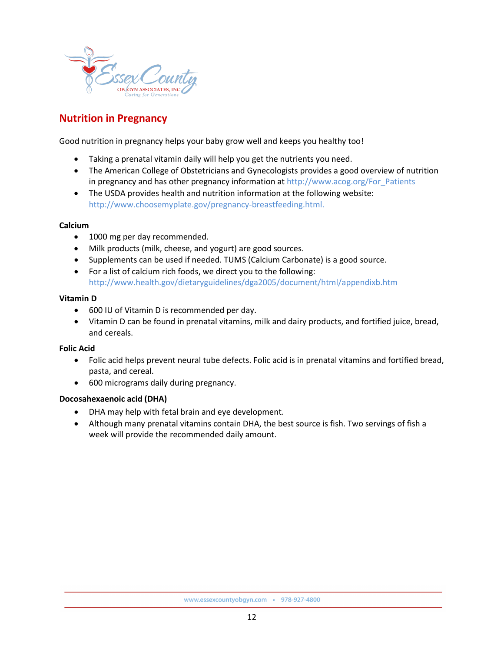

# **Nutrition in Pregnancy**

Good nutrition in pregnancy helps your baby grow well and keeps you healthy too!

- Taking a prenatal vitamin daily will help you get the nutrients you need.
- The American College of Obstetricians and Gynecologists provides a good overview of nutrition in pregnancy and has other pregnancy information at [http://www.acog.org/For\\_Patients](http://www.acog.org/For_Patients)
- The USDA provides health and nutrition information at the following website: [http://www.choosemyplate.gov/pregnancy-breastfeeding.html.](http://www.choosemyplate.gov/pregnancy-breastfeeding.html)

#### **Calcium**

- 1000 mg per day recommended.
- Milk products (milk, cheese, and yogurt) are good sources.
- Supplements can be used if needed. TUMS (Calcium Carbonate) is a good source.
- For a list of calcium rich foods, we direct you to the following: <http://www.health.gov/dietaryguidelines/dga2005/document/html/appendixb.htm>

#### **Vitamin D**

- 600 IU of Vitamin D is recommended per day.
- Vitamin D can be found in prenatal vitamins, milk and dairy products, and fortified juice, bread, and cereals.

### **Folic Acid**

- Folic acid helps prevent neural tube defects. Folic acid is in prenatal vitamins and fortified bread, pasta, and cereal.
- 600 micrograms daily during pregnancy.

### **Docosahexaenoic acid (DHA)**

- DHA may help with fetal brain and eye development.
- Although many prenatal vitamins contain DHA, the best source is fish. Two servings of fish a week will provide the recommended daily amount.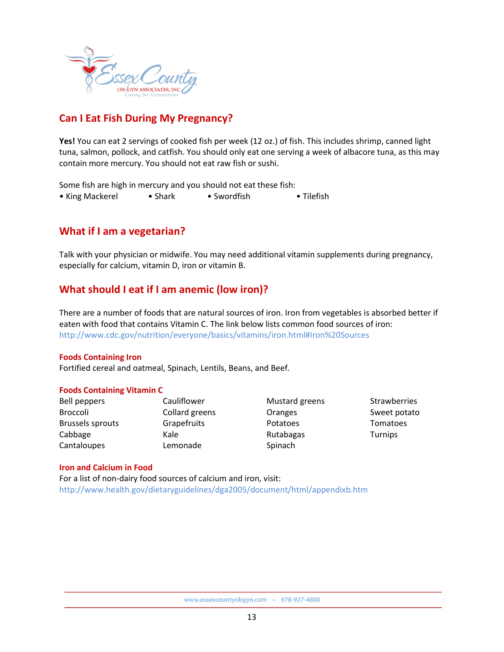

# **Can I Eat Fish During My Pregnancy?**

**Yes!** You can eat 2 servings of cooked fish per week (12 oz.) of fish. This includes shrimp, canned light tuna, salmon, pollock, and catfish. You should only eat one serving a week of albacore tuna, as this may contain more mercury. You should not eat raw fish or sushi.

Some fish are high in mercury and you should not eat these fish:

• King Mackerel • Shark • Swordfish • Tilefish

### **What if I am a vegetarian?**

Talk with your physician or midwife. You may need additional vitamin supplements during pregnancy, especially for calcium, vitamin D, iron or vitamin B.

### **What should I eat if I am anemic (low iron)?**

There are a number of foods that are natural sources of iron. Iron from vegetables is absorbed better if eaten with food that contains Vitamin C. The link below lists common food sources of iron: <http://www.cdc.gov/nutrition/everyone/basics/vitamins/iron.html#Iron%20Sources>

### **Foods Containing Iron**

Fortified cereal and oatmeal, Spinach, Lentils, Beans, and Beef.

### **Foods Containing Vitamin C**

| Bell peppers     | Cauliflower    | Mustard greens | Strawberries |
|------------------|----------------|----------------|--------------|
| Broccoli         | Collard greens | Oranges        | Sweet potato |
| Brussels sprouts | Grapefruits    | Potatoes       | Tomatoes     |
| Cabbage          | Kale           | Rutabagas      | Turnips      |
| Cantaloupes      | Lemonade       | Spinach        |              |

#### **Iron and Calcium in Food**

For a list of non-dairy food sources of calcium and iron, visit: <http://www.health.gov/dietaryguidelines/dga2005/document/html/appendixb.htm>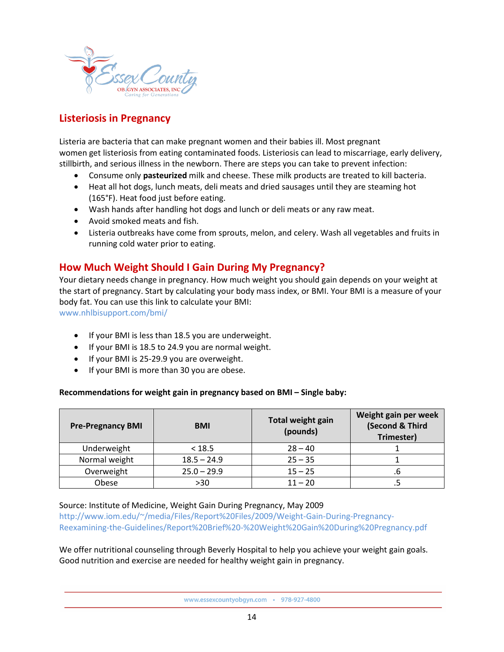

# **Listeriosis in Pregnancy**

Listeria are bacteria that can make pregnant women and their babies ill. Most pregnant women get listeriosis from eating contaminated foods. Listeriosis can lead to miscarriage, early delivery, stillbirth, and serious illness in the newborn. There are steps you can take to prevent infection:

- Consume only **pasteurized** milk and cheese. These milk products are treated to kill bacteria.
- Heat all hot dogs, lunch meats, deli meats and dried sausages until they are steaming hot (165°F). Heat food just before eating.
- Wash hands after handling hot dogs and lunch or deli meats or any raw meat.
- Avoid smoked meats and fish.
- Listeria outbreaks have come from sprouts, melon, and celery. Wash all vegetables and fruits in running cold water prior to eating.

### **How Much Weight Should I Gain During My Pregnancy?**

Your dietary needs change in pregnancy. How much weight you should gain depends on your weight at the start of pregnancy. Start by calculating your body mass index, or BMI. Your BMI is a measure of your body fat. You can use this link to calculate your BMI:

[www.nhlbisupport.com/bmi/](http://www.nhlbisupport.com/bmi/)

- If your BMI is less than 18.5 you are underweight.
- If your BMI is 18.5 to 24.9 you are normal weight.
- If your BMI is 25-29.9 you are overweight.
- If your BMI is more than 30 you are obese.

### **Recommendations for weight gain in pregnancy based on BMI – Single baby:**

| <b>Pre-Pregnancy BMI</b> | <b>BMI</b>    | <b>Total weight gain</b><br>(pounds) | Weight gain per week<br>(Second & Third<br>Trimester) |
|--------------------------|---------------|--------------------------------------|-------------------------------------------------------|
| Underweight              | < 18.5        | $28 - 40$                            |                                                       |
| Normal weight            | $18.5 - 24.9$ | $25 - 35$                            |                                                       |
| Overweight               | $25.0 - 29.9$ | $15 - 25$                            | .b                                                    |
| Obese                    | >30           | $11 - 20$                            |                                                       |

Source: Institute of Medicine, Weight Gain During Pregnancy, May 2009

http://www.iom.edu/~/media/Files/Report%20Files/2009/Weight-Gain-During-Pregnancy-Reexamining-the-Guidelines/Report%20Brief%20-%20Weight%20Gain%20During%20Pregnancy.pdf

We offer nutritional counseling through Beverly Hospital to help you achieve your weight gain goals. Good nutrition and exercise are needed for healthy weight gain in pregnancy.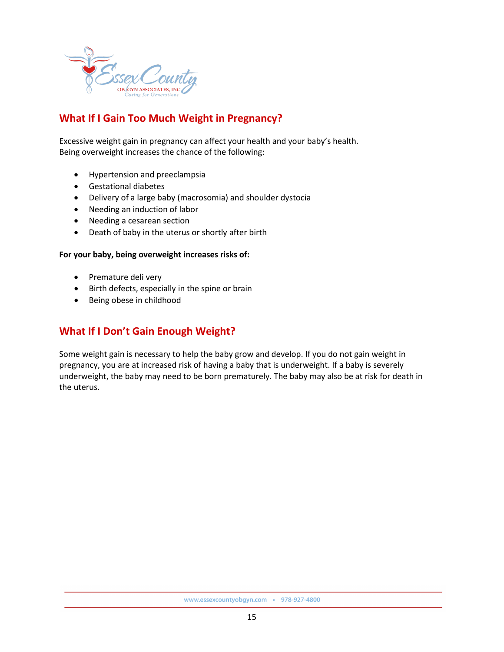

# **What If I Gain Too Much Weight in Pregnancy?**

Excessive weight gain in pregnancy can affect your health and your baby's health. Being overweight increases the chance of the following:

- Hypertension and preeclampsia
- Gestational diabetes
- Delivery of a large baby (macrosomia) and shoulder dystocia
- Needing an induction of labor
- Needing a cesarean section
- Death of baby in the uterus or shortly after birth

### **For your baby, being overweight increases risks of:**

- Premature deli very
- Birth defects, especially in the spine or brain
- Being obese in childhood

### **What If I Don't Gain Enough Weight?**

Some weight gain is necessary to help the baby grow and develop. If you do not gain weight in pregnancy, you are at increased risk of having a baby that is underweight. If a baby is severely underweight, the baby may need to be born prematurely. The baby may also be at risk for death in the uterus.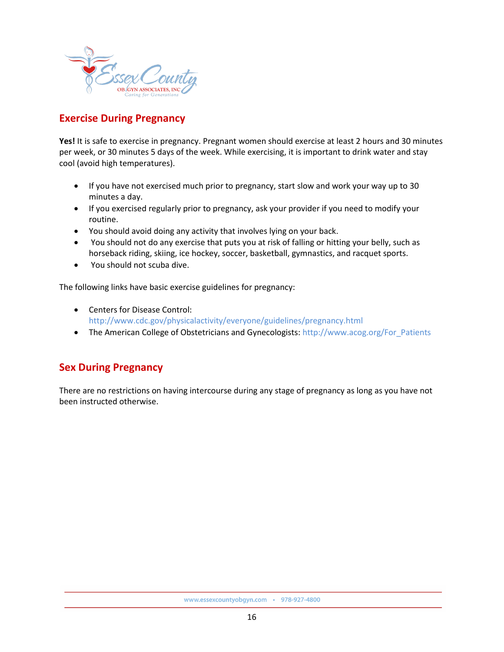

# **Exercise During Pregnancy**

**Yes!** It is safe to exercise in pregnancy. Pregnant women should exercise at least 2 hours and 30 minutes per week, or 30 minutes 5 days of the week. While exercising, it is important to drink water and stay cool (avoid high temperatures).

- If you have not exercised much prior to pregnancy, start slow and work your way up to 30 minutes a day.
- If you exercised regularly prior to pregnancy, ask your provider if you need to modify your routine.
- You should avoid doing any activity that involves lying on your back.
- You should not do any exercise that puts you at risk of falling or hitting your belly, such as horseback riding, skiing, ice hockey, soccer, basketball, gymnastics, and racquet sports.
- You should not scuba dive.

The following links have basic exercise guidelines for pregnancy:

- Centers for Disease Control: http://www.cdc.gov/physicalactivity/everyone/guidelines/pregnancy.html
- The American College of Obstetricians and Gynecologists: http://www.acog.org/For\_Patients

### **Sex During Pregnancy**

There are no restrictions on having intercourse during any stage of pregnancy as long as you have not been instructed otherwise.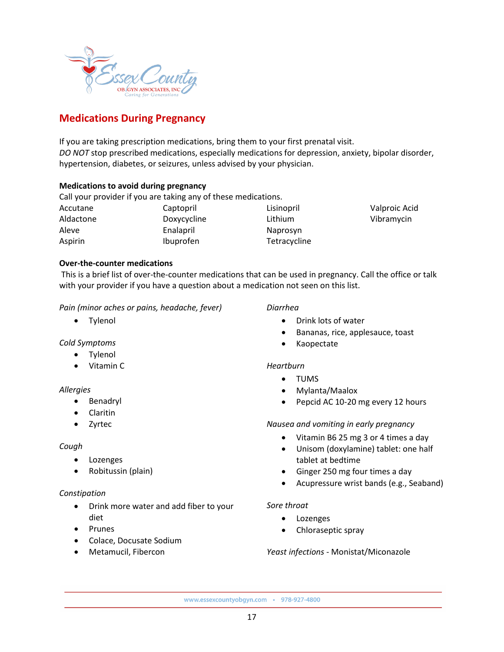

# **Medications During Pregnancy**

If you are taking prescription medications, bring them to your first prenatal visit. *DO NOT* stop prescribed medications, especially medications for depression, anxiety, bipolar disorder, hypertension, diabetes, or seizures, unless advised by your physician.

### **Medications to avoid during pregnancy**

Call your provider if you are taking any of these medications.

Accutane Aldactone Aleve Aspirin

Captopril Doxycycline Enalapril Ibuprofen

Lisinopril Lithium Naprosyn **Tetracycline**  Valproic Acid Vibramycin

### **Over-the-counter medications**

This is a brief list of over-the-counter medications that can be used in pregnancy. Call the office or talk with your provider if you have a question about a medication not seen on this list.

### *Pain (minor aches or pains, headache, fever)*

• Tylenol

*Cold Symptoms*

- Tylenol
- Vitamin C

### *Allergies*

- Benadryl
- Claritin
- Zyrtec

### *Cough*

- Lozenges
- Robitussin (plain)

### *Constipation*

- Drink more water and add fiber to your diet
- Prunes
- Colace, Docusate Sodium
- Metamucil, Fibercon

### *Diarrhea*

- Drink lots of water
- Bananas, rice, applesauce, toast
- Kaopectate

### *Heartburn*

- TUMS
- Mylanta/Maalox
- Pepcid AC 10-20 mg every 12 hours

### *Nausea and vomiting in early pregnancy*

- Vitamin B6 25 mg 3 or 4 times a day
- Unisom (doxylamine) tablet: one half tablet at bedtime
- Ginger 250 mg four times a day
- Acupressure wrist bands (e.g., Seaband)

### *Sore throat*

- Lozenges
- Chloraseptic spray

### *Yeast infections -* Monistat/Miconazole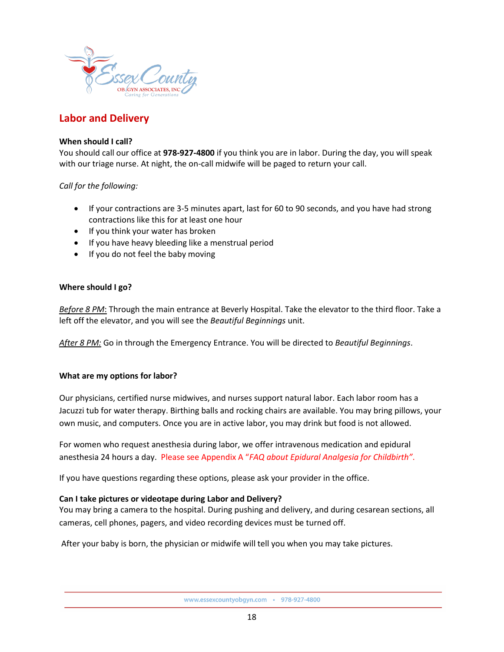

### **Labor and Delivery**

### **When should I call?**

You should call our office at **978-927-4800** if you think you are in labor. During the day, you will speak with our triage nurse. At night, the on-call midwife will be paged to return your call.

*Call for the following:*

- If your contractions are 3-5 minutes apart, last for 60 to 90 seconds, and you have had strong contractions like this for at least one hour
- If you think your water has broken
- If you have heavy bleeding like a menstrual period
- If you do not feel the baby moving

### **Where should I go?**

*Before 8 PM*: Through the main entrance at Beverly Hospital. Take the elevator to the third floor. Take a left off the elevator, and you will see the *Beautiful Beginnings* unit.

*After 8 PM:* Go in through the Emergency Entrance. You will be directed to *Beautiful Beginnings*.

### **What are my options for labor?**

Our physicians, certified nurse midwives, and nurses support natural labor. Each labor room has a Jacuzzi tub for water therapy. Birthing balls and rocking chairs are available. You may bring pillows, your own music, and computers. Once you are in active labor, you may drink but food is not allowed.

For women who request anesthesia during labor, we offer intravenous medication and epidural anesthesia 24 hours a day. Please see Appendix A "*FAQ about Epidural Analgesia for Childbirth"*.

If you have questions regarding these options, please ask your provider in the office.

### **Can I take pictures or videotape during Labor and Delivery?**

You may bring a camera to the hospital. During pushing and delivery, and during cesarean sections, all cameras, cell phones, pagers, and video recording devices must be turned off.

After your baby is born, the physician or midwife will tell you when you may take pictures.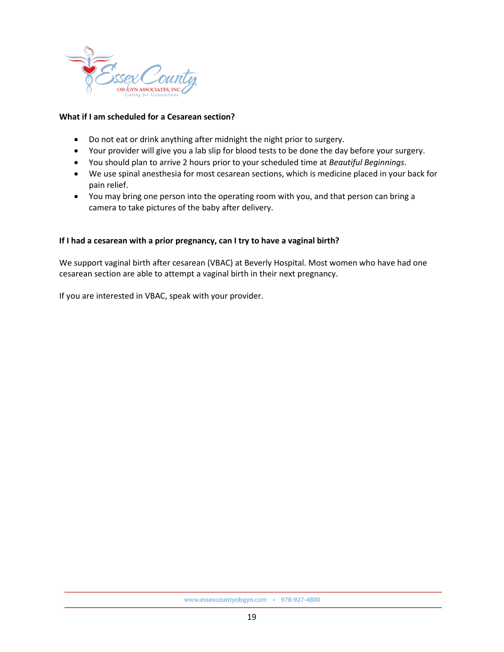

### **What if I am scheduled for a Cesarean section?**

- Do not eat or drink anything after midnight the night prior to surgery.
- Your provider will give you a lab slip for blood tests to be done the day before your surgery.
- You should plan to arrive 2 hours prior to your scheduled time at *Beautiful Beginnings*.
- We use spinal anesthesia for most cesarean sections, which is medicine placed in your back for pain relief.
- You may bring one person into the operating room with you, and that person can bring a camera to take pictures of the baby after delivery.

### **If I had a cesarean with a prior pregnancy, can I try to have a vaginal birth?**

We support vaginal birth after cesarean (VBAC) at Beverly Hospital. Most women who have had one cesarean section are able to attempt a vaginal birth in their next pregnancy.

If you are interested in VBAC, speak with your provider.